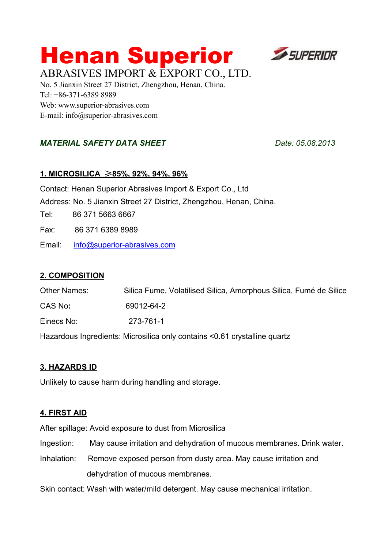# **Henan Superior ESUPERIDR** ABRASIVES IMPORT & EXPORT CO., LTD.



No. 5 Jianxin Street 27 District, Zhengzhou, Henan, China. Tel: +86-371-6389 8989 Web: www.superior-abrasives.com E-mail: info@superior-abrasives.com

# *MATERIAL SAFETY DATA SHEET Date: 05.08.2013*

# **1. MICROSILICA** ≥**85%, 92%, 94%, 96%**

Contact: Henan Superior Abrasives Import & Export Co., Ltd Address: No. 5 Jianxin Street 27 District, Zhengzhou, Henan, China. Tel: 86 371 5663 6667 Fax: 86 371 6389 8989

Email: [info@superior-abrasives.com](mailto:info@superior-abrasives.com)

# **2. COMPOSITION**

Other Names: Silica Fume, Volatilised Silica, Amorphous Silica, Fumé de Silice CAS No**:** 69012-64-2 Einecs No: 273-761-1 Hazardous Ingredients: Microsilica only contains <0.61 crystalline quartz

# **3. HAZARDS ID**

Unlikely to cause harm during handling and storage.

# **4. FIRST AID**

After spillage: Avoid exposure to dust from Microsilica

Ingestion: May cause irritation and dehydration of mucous membranes. Drink water.

Inhalation: Remove exposed person from dusty area. May cause irritation and dehydration of mucous membranes.

Skin contact: Wash with water/mild detergent. May cause mechanical irritation.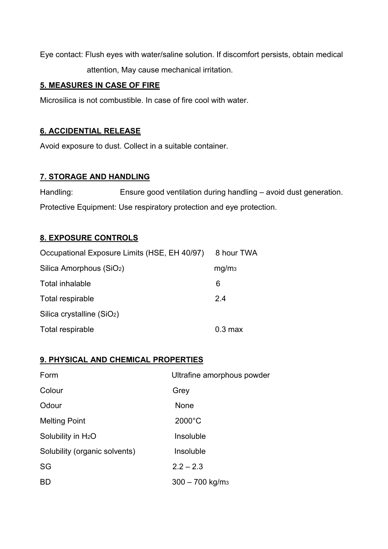Eye contact: Flush eyes with water/saline solution. If discomfort persists, obtain medical attention, May cause mechanical irritation.

## **5. MEASURES IN CASE OF FIRE**

Microsilica is not combustible. In case of fire cool with water.

# **6. ACCIDENTIAL RELEASE**

Avoid exposure to dust. Collect in a suitable container.

## **7. STORAGE AND HANDLING**

Handling: Ensure good ventilation during handling – avoid dust generation. Protective Equipment: Use respiratory protection and eye protection.

#### **8. EXPOSURE CONTROLS**

| Occupational Exposure Limits (HSE, EH 40/97) | 8 hour TWA        |
|----------------------------------------------|-------------------|
| Silica Amorphous (SiO <sub>2</sub> )         | mg/m <sub>3</sub> |
| Total inhalable                              | 6                 |
| Total respirable                             | 2.4               |
| Silica crystalline (SiO <sub>2</sub> )       |                   |
| Total respirable                             | $0.3 \text{ max}$ |

#### **9. PHYSICAL AND CHEMICAL PROPERTIES**

| Form                           | Ultrafine amorphous powder    |
|--------------------------------|-------------------------------|
| Colour                         | Grey                          |
| Odour                          | None                          |
| <b>Melting Point</b>           | $2000^{\circ}$ C              |
| Solubility in H <sub>2</sub> O | Insoluble                     |
| Solubility (organic solvents)  | Insoluble                     |
| SG                             | $2.2 - 2.3$                   |
| <b>BD</b>                      | $300 - 700$ kg/m <sub>3</sub> |